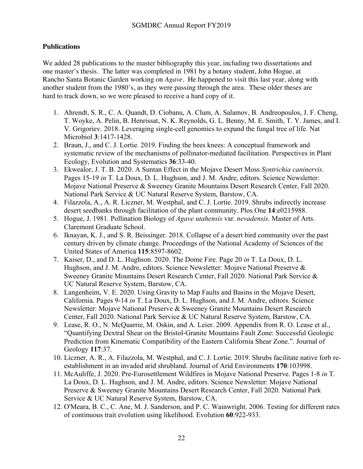## **Publications**

We added 28 publications to the master bibliography this year, including two dissertations and one master's thesis. The latter was completed in 1981 by a botany student, John Hogue, at Rancho Santa Botanic Garden working on *Agave*. He happened to visit this last year, along with another student from the 1980's, as they were passing through the area. These older theses are hard to track down, so we were pleased to receive a hard copy of it.

- 1. Ahrendt, S. R., C. A. Quandt, D. Ciobanu, A. Clum, A. Salamov, B. Andreopoulos, J. F. Cheng, T. Woyke, A. Pelin, B. Henrissat, N. K. Reynolds, G. L. Benny, M. E. Smith, T. Y. James, and I. V. Grigoriev. 2018. Leveraging single-cell genomics to expand the fungal tree of life. Nat Microbiol **3**:1417-1428.
- 2. Braun, J., and C. J. Lortie. 2019. Finding the bees knees: A conceptual framework and systematic review of the mechanisms of pollinator-mediated facilitation. Perspectives in Plant Ecology, Evolution and Systematics **36**:33-40.
- 3. Ekwealor, J. T. B. 2020. A Suntan Effect in the Mojave Desert Moss *Syntrichia caninervis*. Pages 15-19 *in* T. La Doux, D. L. Hughson, and J. M. Andre, editors. Science Newsletter: Mojave National Preserve & Sweeney Granite Mountains Desert Research Center, Fall 2020. National Park Service & UC Natural Reserve System, Barstow, CA.
- 4. Filazzola, A., A. R. Liczner, M. Westphal, and C. J. Lortie. 2019. Shrubs indirectly increase desert seedbanks through facilitation of the plant community. Plos One **14**:e0215988.
- 5. Hogue, J. 1981. Pollination Biology of *Agave utahensis* var. *nevadensis*. Master of Arts. Claremont Graduate School.
- 6. Iknayan, K. J., and S. R. Beissinger. 2018. Collapse of a desert bird community over the past century driven by climate change. Proceedings of the National Academy of Sciences of the United States of America **115**:8597-8602.
- 7. Kaiser, D., and D. L. Hughson. 2020. The Dome Fire. Page 20 *in* T. La Doux, D. L. Hughson, and J. M. Andre, editors. Science Newsletter: Mojave National Preserve & Sweeney Granite Mountains Desert Research Center, Fall 2020. National Park Service & UC Natural Reserve System, Barstow, CA.
- 8. Langenheim, V. E. 2020. Using Gravity to Map Faults and Basins in the Mojave Desert, California. Pages 9-14 *in* T. La Doux, D. L. Hughson, and J. M. Andre, editors. Science Newsletter: Mojave National Preserve & Sweeney Granite Mountains Desert Research Center, Fall 2020. National Park Service & UC Natural Reserve System, Barstow, CA.
- 9. Lease, R. O., N. McQuarrie, M. Oskin, and A. Leier. 2009. Appendix from R. O. Lease et al., "Quantifying Dextral Shear on the Bristol-Granite Mountains Fault Zone: Successful Geologic Prediction from Kinematic Compatibility of the Eastern California Shear Zone.". Journal of Geology **117**:37.
- 10. Liczner, A. R., A. Filazzola, M. Westphal, and C. J. Lortie. 2019. Shrubs facilitate native forb reestablishment in an invaded arid shrubland. Journal of Arid Environments **170**:103998.
- 11. McAuliffe, J. 2020. Pre-Eurosettlement Wildfires in Mojave National Preserve. Pages 1-8 *in* T. La Doux, D. L. Hughson, and J. M. Andre, editors. Science Newsletter: Mojave National Preserve & Sweeney Granite Mountains Desert Research Center, Fall 2020. National Park Service & UC Natural Reserve System, Barstow, CA.
- 12. O'Meara, B. C., C. Ane, M. J. Sanderson, and P. C. Wainwright. 2006. Testing for different rates of continuous trait evolution using likelihood. Evolution **60**:922-933.